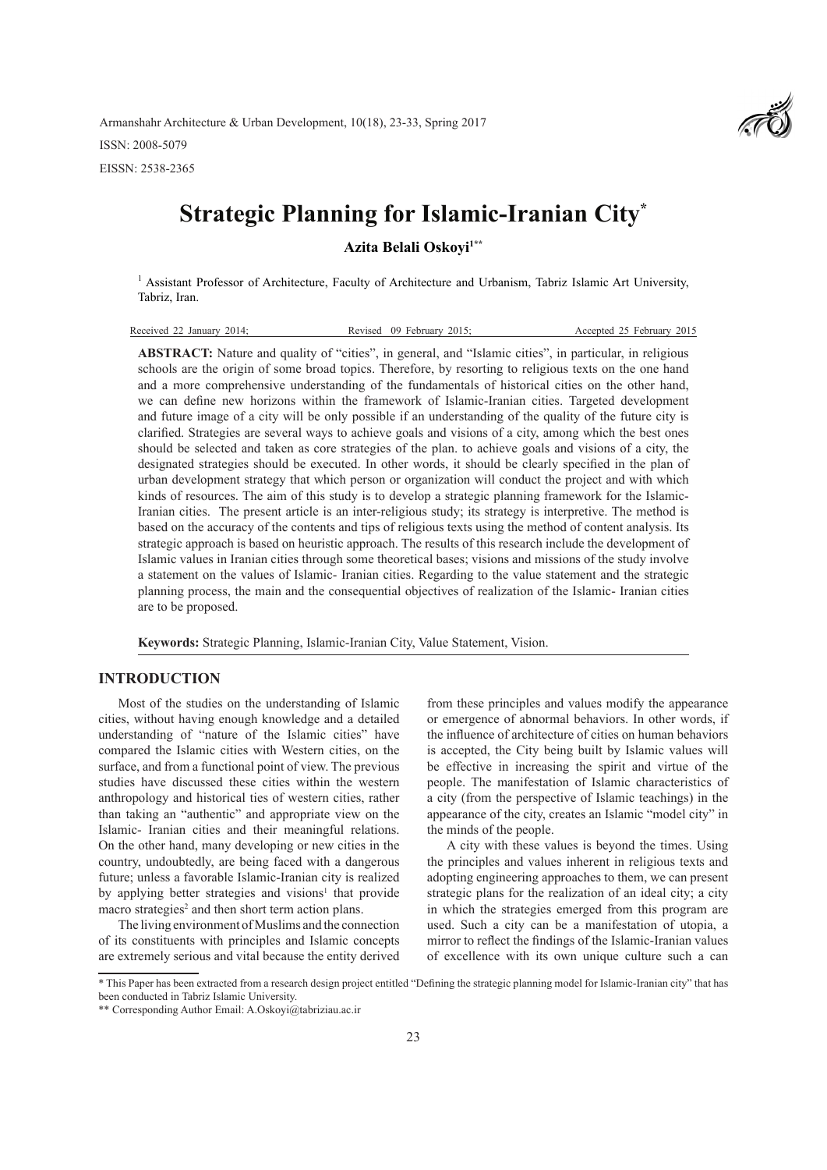Armanshahr Architecture & Urban Development, 10(18), 23-33, Spring 2017 ISSN: 2008-5079 EISSN: 2538-2365



# **Strategic Planning for Islamic-Iranian City\***

Azita Belali Oskoyi<sup>1\*\*</sup>

<sup>1</sup> Assistant Professor of Architecture, Faculty of Architecture and Urbanism, Tabriz Islamic Art University, Tabriz, Iran.

| Received 22 January 2014: | Revised 09 February 2015: | Accepted 25 February 2015 |
|---------------------------|---------------------------|---------------------------|
|                           |                           |                           |

**ABSTRACT:** Nature and quality of "cities", in general, and "Islamic cities", in particular, in religious schools are the origin of some broad topics. Therefore, by resorting to religious texts on the one hand and a more comprehensive understanding of the fundamentals of historical cities on the other hand, we can define new horizons within the framework of Islamic-Iranian cities. Targeted development and future image of a city will be only possible if an understanding of the quality of the future city is clarified. Strategies are several ways to achieve goals and visions of a city, among which the best ones should be selected and taken as core strategies of the plan. to achieve goals and visions of a city, the designated strategies should be executed. In other words, it should be clearly specified in the plan of urban development strategy that which person or organization will conduct the project and with which kinds of resources. The aim of this study is to develop a strategic planning framework for the Islamic-Iranian cities. The present article is an inter-religious study; its strategy is interpretive. The method is based on the accuracy of the contents and tips of religious texts using the method of content analysis. Its strategic approach is based on heuristic approach. The results of this research include the development of Islamic values in Iranian cities through some theoretical bases; visions and missions of the study involve a statement on the values of Islamic- Iranian cities. Regarding to the value statement and the strategic planning process, the main and the consequential objectives of realization of the Islamic- Iranian cities are to be proposed.

**Keywords:** Strategic Planning, Islamic-Iranian City, Value Statement, Vision.

## **INTRODUCTION**

Most of the studies on the understanding of Islamic cities, without having enough knowledge and a detailed understanding of "nature of the Islamic cities" have compared the Islamic cities with Western cities, on the surface, and from a functional point of view. The previous studies have discussed these cities within the western anthropology and historical ties of western cities, rather than taking an "authentic" and appropriate view on the Islamic- Iranian cities and their meaningful relations. On the other hand, many developing or new cities in the country, undoubtedly, are being faced with a dangerous future; unless a favorable Islamic-Iranian city is realized by applying better strategies and visions<sup>1</sup> that provide macro strategies<sup>2</sup> and then short term action plans.

The living environment of Muslims and the connection of its constituents with principles and Islamic concepts are extremely serious and vital because the entity derived

from these principles and values modify the appearance or emergence of abnormal behaviors. In other words, if the influence of architecture of cities on human behaviors is accepted, the City being built by Islamic values will be effective in increasing the spirit and virtue of the people. The manifestation of Islamic characteristics of a city (from the perspective of Islamic teachings) in the appearance of the city, creates an Islamic "model city" in the minds of the people.

A city with these values is beyond the times. Using the principles and values inherent in religious texts and adopting engineering approaches to them, we can present strategic plans for the realization of an ideal city; a city in which the strategies emerged from this program are used. Such a city can be a manifestation of utopia, a mirror to reflect the findings of the Islamic-Iranian values of excellence with its own unique culture such a can

<sup>\*</sup> This Paper has been extracted from a research design project entitled "Defining the strategic planning model for Islamic-Iranian city" that has been conducted in Tabriz Islamic University.

<sup>\*\*</sup> Corresponding Author Email: A.Oskoyi@tabriziau.ac.ir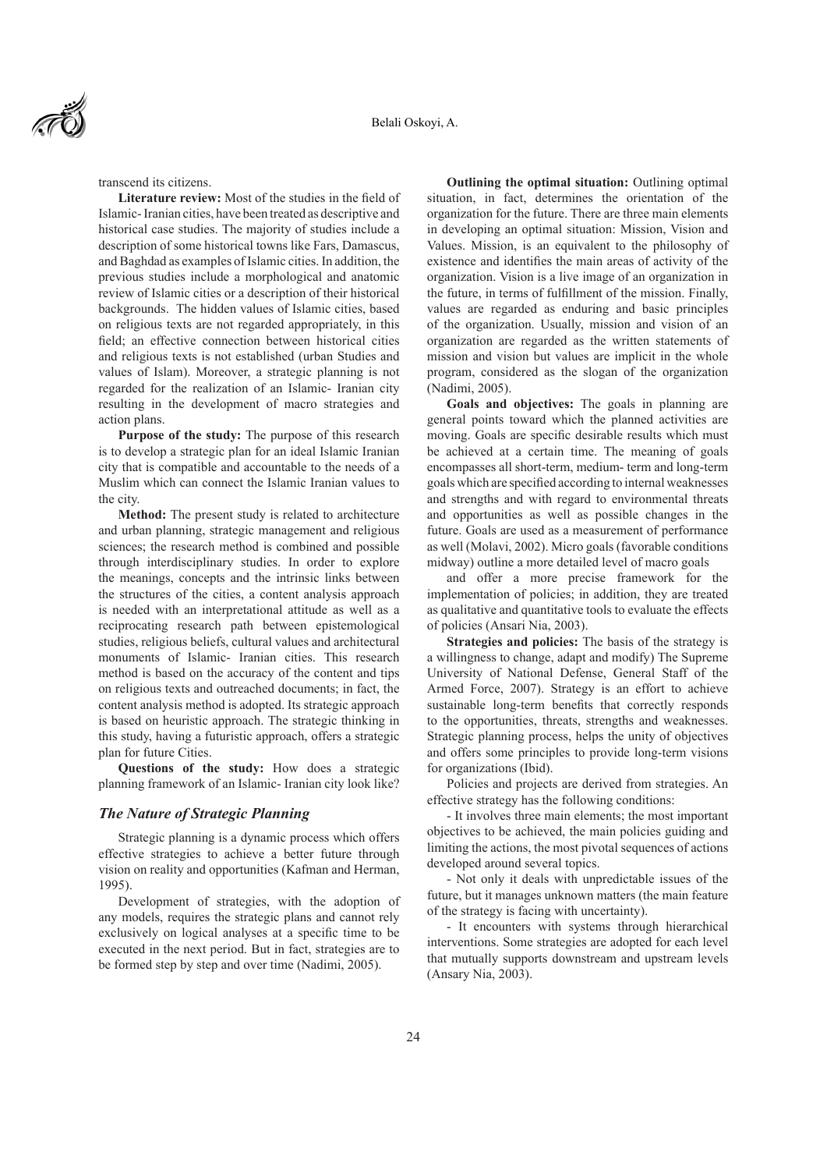

transcend its citizens.

**Literature review:** Most of the studies in the field of Islamic- Iranian cities, have been treated as descriptive and historical case studies. The majority of studies include a description of some historical towns like Fars, Damascus, and Baghdad as examples of Islamic cities. In addition, the previous studies include a morphological and anatomic review of Islamic cities or a description of their historical backgrounds. The hidden values of Islamic cities, based on religious texts are not regarded appropriately, in this field; an effective connection between historical cities and religious texts is not established (urban Studies and values of Islam). Moreover, a strategic planning is not regarded for the realization of an Islamic- Iranian city resulting in the development of macro strategies and action plans.

**Purpose of the study:** The purpose of this research is to develop a strategic plan for an ideal Islamic Iranian city that is compatible and accountable to the needs of a Muslim which can connect the Islamic Iranian values to the city.

**Method:** The present study is related to architecture and urban planning, strategic management and religious sciences; the research method is combined and possible through interdisciplinary studies. In order to explore the meanings, concepts and the intrinsic links between the structures of the cities, a content analysis approach is needed with an interpretational attitude as well as a reciprocating research path between epistemological studies, religious beliefs, cultural values and architectural monuments of Islamic- Iranian cities. This research method is based on the accuracy of the content and tips on religious texts and outreached documents; in fact, the content analysis method is adopted. Its strategic approach is based on heuristic approach. The strategic thinking in this study, having a futuristic approach, offers a strategic plan for future Cities.

**Questions of the study:** How does a strategic planning framework of an Islamic- Iranian city look like?

## *The Nature of Strategic Planning*

Strategic planning is a dynamic process which offers effective strategies to achieve a better future through vision on reality and opportunities (Kafman and Herman, 1995).

Development of strategies, with the adoption of any models, requires the strategic plans and cannot rely exclusively on logical analyses at a specific time to be executed in the next period. But in fact, strategies are to be formed step by step and over time (Nadimi, 2005).

**Outlining the optimal situation:** Outlining optimal situation, in fact, determines the orientation of the organization for the future. There are three main elements in developing an optimal situation: Mission, Vision and Values. Mission, is an equivalent to the philosophy of existence and identifies the main areas of activity of the organization. Vision is a live image of an organization in the future, in terms of fulfillment of the mission. Finally, values are regarded as enduring and basic principles of the organization. Usually, mission and vision of an organization are regarded as the written statements of mission and vision but values are implicit in the whole program, considered as the slogan of the organization (Nadimi, 2005).

**Goals and objectives:** The goals in planning are general points toward which the planned activities are moving. Goals are specific desirable results which must be achieved at a certain time. The meaning of goals encompasses all short-term, medium- term and long-term goals which are specified according to internal weaknesses and strengths and with regard to environmental threats and opportunities as well as possible changes in the future. Goals are used as a measurement of performance as well (Molavi, 2002). Micro goals (favorable conditions midway) outline a more detailed level of macro goals

and offer a more precise framework for the implementation of policies; in addition, they are treated as qualitative and quantitative tools to evaluate the effects of policies (Ansari Nia, 2003).

**Strategies and policies:** The basis of the strategy is a willingness to change, adapt and modify) The Supreme University of National Defense, General Staff of the Armed Force, 2007). Strategy is an effort to achieve sustainable long-term benefits that correctly responds to the opportunities, threats, strengths and weaknesses. Strategic planning process, helps the unity of objectives and offers some principles to provide long-term visions for organizations (Ibid).

Policies and projects are derived from strategies. An effective strategy has the following conditions:

- It involves three main elements; the most important objectives to be achieved, the main policies guiding and limiting the actions, the most pivotal sequences of actions developed around several topics.

- Not only it deals with unpredictable issues of the future, but it manages unknown matters (the main feature of the strategy is facing with uncertainty).

- It encounters with systems through hierarchical interventions. Some strategies are adopted for each level that mutually supports downstream and upstream levels (Ansary Nia, 2003).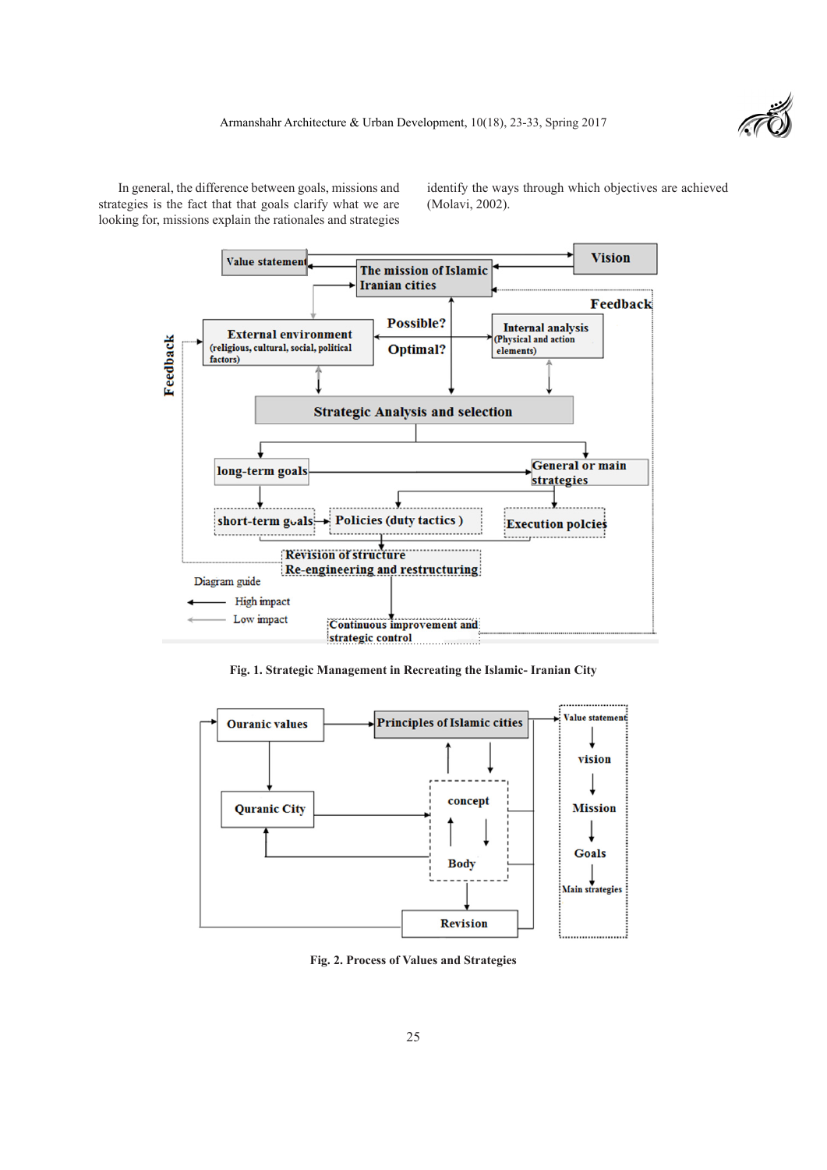

In general, the difference between goals, missions and strategies is the fact that that goals clarify what we are looking for, missions explain the rationales and strategies

identify the ways through which objectives are achieved (Molavi, 2002).



**Fig. 1. Strategic Management in Recreating the Islamic- Iranian City**



**Fig. 2. Process of Values and Strategies**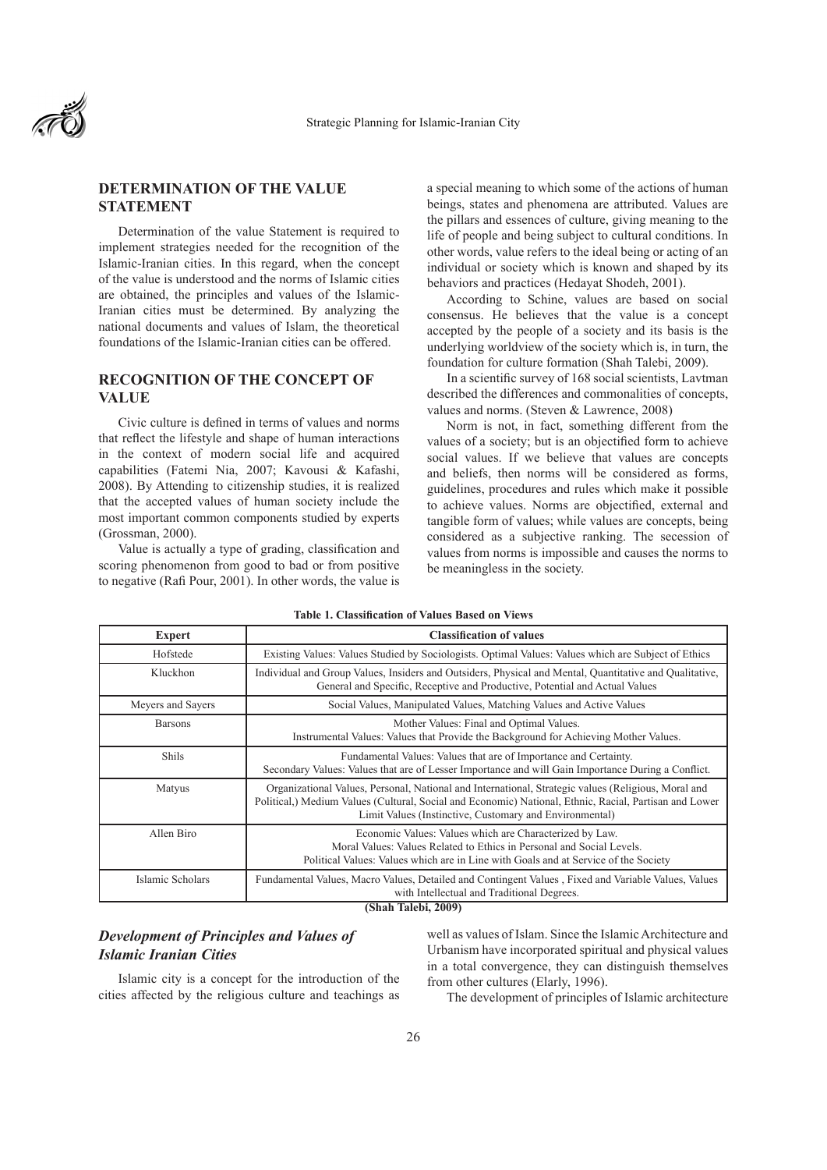

# **DETERMINATION OF THE VALUE STATEMENT**

Determination of the value Statement is required to implement strategies needed for the recognition of the Islamic-Iranian cities. In this regard, when the concept of the value is understood and the norms of Islamic cities are obtained, the principles and values of the Islamic-Iranian cities must be determined. By analyzing the national documents and values of Islam, the theoretical foundations of the Islamic-Iranian cities can be offered.

# **RECOGNITION OF THE CONCEPT OF VALUE**

Civic culture is defined in terms of values and norms that reflect the lifestyle and shape of human interactions in the context of modern social life and acquired capabilities (Fatemi Nia, 2007; Kavousi & Kafashi, 2008). By Attending to citizenship studies, it is realized that the accepted values of human society include the most important common components studied by experts (Grossman, 2000).

Value is actually a type of grading, classification and scoring phenomenon from good to bad or from positive to negative (Rafi Pour, 2001). In other words, the value is a special meaning to which some of the actions of human beings, states and phenomena are attributed. Values are the pillars and essences of culture, giving meaning to the life of people and being subject to cultural conditions. In other words, value refers to the ideal being or acting of an individual or society which is known and shaped by its behaviors and practices (Hedayat Shodeh, 2001).

According to Schine, values are based on social consensus. He believes that the value is a concept accepted by the people of a society and its basis is the underlying worldview of the society which is, in turn, the foundation for culture formation (Shah Talebi, 2009).

In a scientific survey of 168 social scientists, Lavtman described the differences and commonalities of concepts, values and norms. (Steven & Lawrence, 2008)

Norm is not, in fact, something different from the values of a society; but is an objectified form to achieve social values. If we believe that values are concepts and beliefs, then norms will be considered as forms, guidelines, procedures and rules which make it possible to achieve values. Norms are objectified, external and tangible form of values; while values are concepts, being considered as a subjective ranking. The secession of values from norms is impossible and causes the norms to be meaningless in the society.

| <b>Expert</b>     | <b>Classification of values</b>                                                                                                                                                                                                                                         |  |  |
|-------------------|-------------------------------------------------------------------------------------------------------------------------------------------------------------------------------------------------------------------------------------------------------------------------|--|--|
| Hofstede          | Existing Values: Values Studied by Sociologists. Optimal Values: Values which are Subject of Ethics                                                                                                                                                                     |  |  |
| Kluckhon          | Individual and Group Values, Insiders and Outsiders, Physical and Mental, Quantitative and Qualitative,<br>General and Specific, Receptive and Productive, Potential and Actual Values                                                                                  |  |  |
| Meyers and Sayers | Social Values, Manipulated Values, Matching Values and Active Values                                                                                                                                                                                                    |  |  |
| <b>Barsons</b>    | Mother Values: Final and Optimal Values.<br>Instrumental Values: Values that Provide the Background for Achieving Mother Values.                                                                                                                                        |  |  |
| <b>Shils</b>      | Fundamental Values: Values that are of Importance and Certainty.<br>Secondary Values: Values that are of Lesser Importance and will Gain Importance During a Conflict.                                                                                                  |  |  |
| Matyus            | Organizational Values, Personal, National and International, Strategic values (Religious, Moral and<br>Political, Medium Values (Cultural, Social and Economic) National, Ethnic, Racial, Partisan and Lower<br>Limit Values (Instinctive, Customary and Environmental) |  |  |
| Allen Biro        | Economic Values: Values which are Characterized by Law.<br>Moral Values: Values Related to Ethics in Personal and Social Levels.<br>Political Values: Values which are in Line with Goals and at Service of the Society                                                 |  |  |
| Islamic Scholars  | Fundamental Values, Macro Values, Detailed and Contingent Values, Fixed and Variable Values, Values<br>with Intellectual and Traditional Degrees.<br>$(Fbb Tol)ch$ : 2000)                                                                                              |  |  |

## **Table 1. Classification of Values Based on Views**

**(Shah Talebi, 2009)**

# *Development of Principles and Values of Islamic Iranian Cities*

Islamic city is a concept for the introduction of the cities affected by the religious culture and teachings as well as values of Islam. Since the Islamic Architecture and Urbanism have incorporated spiritual and physical values in a total convergence, they can distinguish themselves from other cultures (Elarly, 1996).

The development of principles of Islamic architecture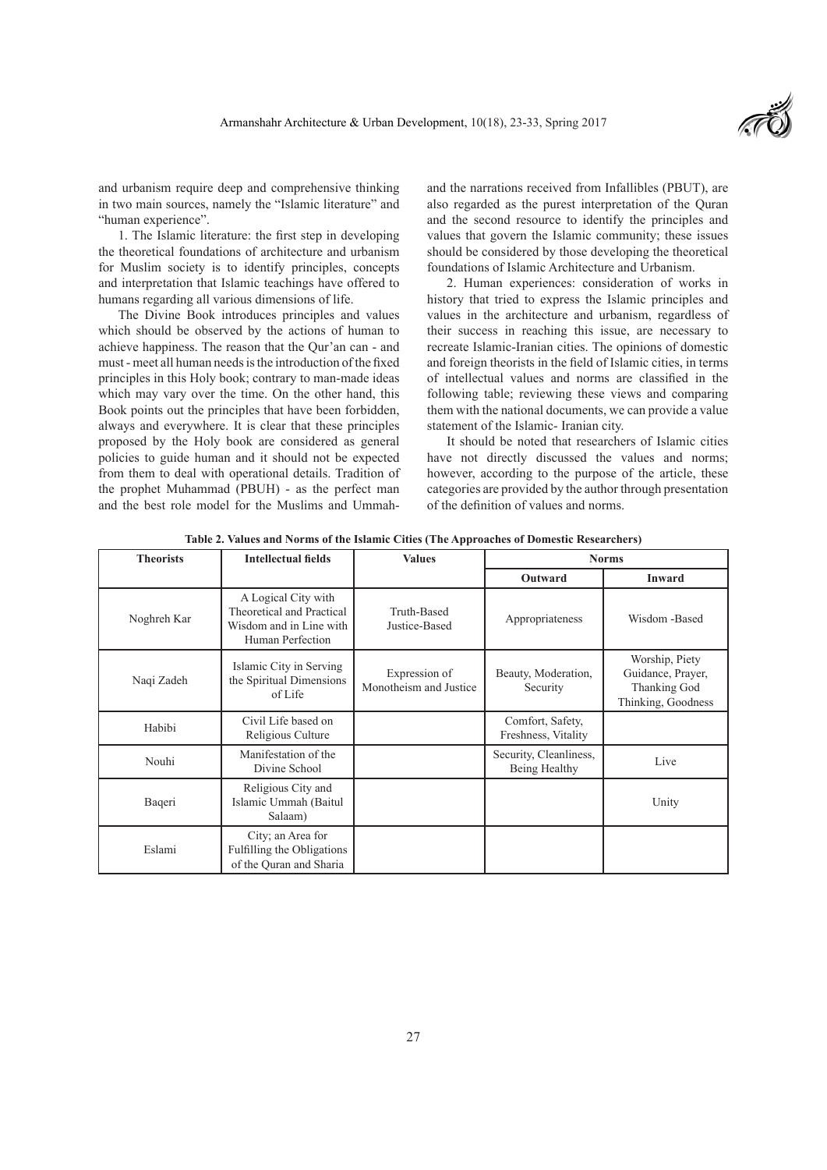

and urbanism require deep and comprehensive thinking in two main sources, namely the "Islamic literature" and "human experience".

1. The Islamic literature: the first step in developing the theoretical foundations of architecture and urbanism for Muslim society is to identify principles, concepts and interpretation that Islamic teachings have offered to humans regarding all various dimensions of life.

The Divine Book introduces principles and values which should be observed by the actions of human to achieve happiness. The reason that the Qur'an can - and must - meet all human needs is the introduction of the fixed principles in this Holy book; contrary to man-made ideas which may vary over the time. On the other hand, this Book points out the principles that have been forbidden, always and everywhere. It is clear that these principles proposed by the Holy book are considered as general policies to guide human and it should not be expected from them to deal with operational details. Tradition of the prophet Muhammad (PBUH) - as the perfect man and the best role model for the Muslims and Ummahand the narrations received from Infallibles (PBUT), are also regarded as the purest interpretation of the Quran and the second resource to identify the principles and values that govern the Islamic community; these issues should be considered by those developing the theoretical foundations of Islamic Architecture and Urbanism.

2. Human experiences: consideration of works in history that tried to express the Islamic principles and values in the architecture and urbanism, regardless of their success in reaching this issue, are necessary to recreate Islamic-Iranian cities. The opinions of domestic and foreign theorists in the field of Islamic cities, in terms of intellectual values and norms are classified in the following table; reviewing these views and comparing them with the national documents, we can provide a value statement of the Islamic- Iranian city.

It should be noted that researchers of Islamic cities have not directly discussed the values and norms; however, according to the purpose of the article, these categories are provided by the author through presentation of the definition of values and norms.

| <b>Theorists</b> | <b>Intellectual fields</b>                                                                      | <b>Values</b>                           | <b>Norms</b>                            |                                                                           |
|------------------|-------------------------------------------------------------------------------------------------|-----------------------------------------|-----------------------------------------|---------------------------------------------------------------------------|
|                  |                                                                                                 |                                         | Outward                                 | Inward                                                                    |
| Noghreh Kar      | A Logical City with<br>Theoretical and Practical<br>Wisdom and in Line with<br>Human Perfection | Truth-Based<br>Justice-Based            | Appropriateness                         | Wisdom -Based                                                             |
| Naqi Zadeh       | Islamic City in Serving<br>the Spiritual Dimensions<br>of Life                                  | Expression of<br>Monotheism and Justice | Beauty, Moderation,<br>Security         | Worship, Piety<br>Guidance, Prayer,<br>Thanking God<br>Thinking, Goodness |
| Habibi           | Civil Life based on<br>Religious Culture                                                        |                                         | Comfort, Safety,<br>Freshness, Vitality |                                                                           |
| Nouhi            | Manifestation of the<br>Divine School                                                           |                                         | Security, Cleanliness,<br>Being Healthy | Live                                                                      |
| Baqeri           | Religious City and<br>Islamic Ummah (Baitul<br>Salaam)                                          |                                         |                                         | Unity                                                                     |
| Eslami           | City; an Area for<br>Fulfilling the Obligations<br>of the Quran and Sharia                      |                                         |                                         |                                                                           |

**Table 2. Values and Norms of the Islamic Cities (The Approaches of Domestic Researchers)**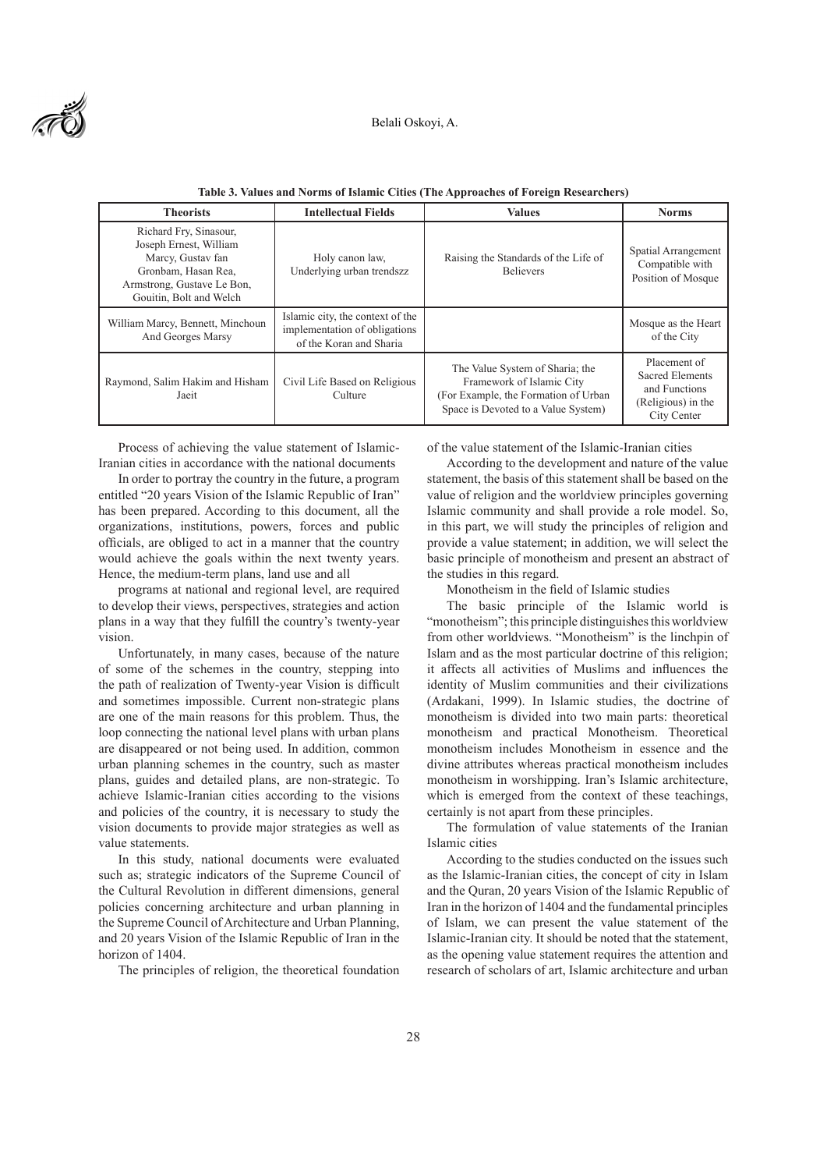

| <b>Theorists</b>                                                                                                                                      | <b>Intellectual Fields</b>                                                                   | <b>Values</b>                                                                                                                               | <b>Norms</b>                                                                          |
|-------------------------------------------------------------------------------------------------------------------------------------------------------|----------------------------------------------------------------------------------------------|---------------------------------------------------------------------------------------------------------------------------------------------|---------------------------------------------------------------------------------------|
| Richard Fry, Sinasour,<br>Joseph Ernest, William<br>Marcy, Gustav fan<br>Gronbam, Hasan Rea,<br>Armstrong, Gustave Le Bon,<br>Gouitin, Bolt and Welch | Holy canon law,<br>Underlying urban trendszz                                                 | Raising the Standards of the Life of<br><b>Believers</b>                                                                                    | Spatial Arrangement<br>Compatible with<br>Position of Mosque                          |
| William Marcy, Bennett, Minchoun<br>And Georges Marsy                                                                                                 | Islamic city, the context of the<br>implementation of obligations<br>of the Koran and Sharia |                                                                                                                                             | Mosque as the Heart<br>of the City                                                    |
| Raymond, Salim Hakim and Hisham<br>Jaeit                                                                                                              | Civil Life Based on Religious<br>Culture                                                     | The Value System of Sharia; the<br>Framework of Islamic City<br>(For Example, the Formation of Urban<br>Space is Devoted to a Value System) | Placement of<br>Sacred Elements<br>and Functions<br>(Religious) in the<br>City Center |

**Table 3. Values and Norms of Islamic Cities (The Approaches of Foreign Researchers)**

Process of achieving the value statement of Islamic-Iranian cities in accordance with the national documents

In order to portray the country in the future, a program entitled "20 years Vision of the Islamic Republic of Iran" has been prepared. According to this document, all the organizations, institutions, powers, forces and public officials, are obliged to act in a manner that the country would achieve the goals within the next twenty years. Hence, the medium-term plans, land use and all

programs at national and regional level, are required to develop their views, perspectives, strategies and action plans in a way that they fulfill the country's twenty-year vision.

Unfortunately, in many cases, because of the nature of some of the schemes in the country, stepping into the path of realization of Twenty-year Vision is difficult and sometimes impossible. Current non-strategic plans are one of the main reasons for this problem. Thus, the loop connecting the national level plans with urban plans are disappeared or not being used. In addition, common urban planning schemes in the country, such as master plans, guides and detailed plans, are non-strategic. To achieve Islamic-Iranian cities according to the visions and policies of the country, it is necessary to study the vision documents to provide major strategies as well as value statements.

In this study, national documents were evaluated such as; strategic indicators of the Supreme Council of the Cultural Revolution in different dimensions, general policies concerning architecture and urban planning in the Supreme Council of Architecture and Urban Planning, and 20 years Vision of the Islamic Republic of Iran in the horizon of 1404.

The principles of religion, the theoretical foundation

of the value statement of the Islamic-Iranian cities

According to the development and nature of the value statement, the basis of this statement shall be based on the value of religion and the worldview principles governing Islamic community and shall provide a role model. So, in this part, we will study the principles of religion and provide a value statement; in addition, we will select the basic principle of monotheism and present an abstract of the studies in this regard.

Monotheism in the field of Islamic studies

The basic principle of the Islamic world is "monotheism"; this principle distinguishes this worldview from other worldviews. "Monotheism" is the linchpin of Islam and as the most particular doctrine of this religion; it affects all activities of Muslims and influences the identity of Muslim communities and their civilizations (Ardakani, 1999). In Islamic studies, the doctrine of monotheism is divided into two main parts: theoretical monotheism and practical Monotheism. Theoretical monotheism includes Monotheism in essence and the divine attributes whereas practical monotheism includes monotheism in worshipping. Iran's Islamic architecture, which is emerged from the context of these teachings, certainly is not apart from these principles.

The formulation of value statements of the Iranian Islamic cities

According to the studies conducted on the issues such as the Islamic-Iranian cities, the concept of city in Islam and the Quran, 20 years Vision of the Islamic Republic of Iran in the horizon of 1404 and the fundamental principles of Islam, we can present the value statement of the Islamic-Iranian city. It should be noted that the statement, as the opening value statement requires the attention and research of scholars of art, Islamic architecture and urban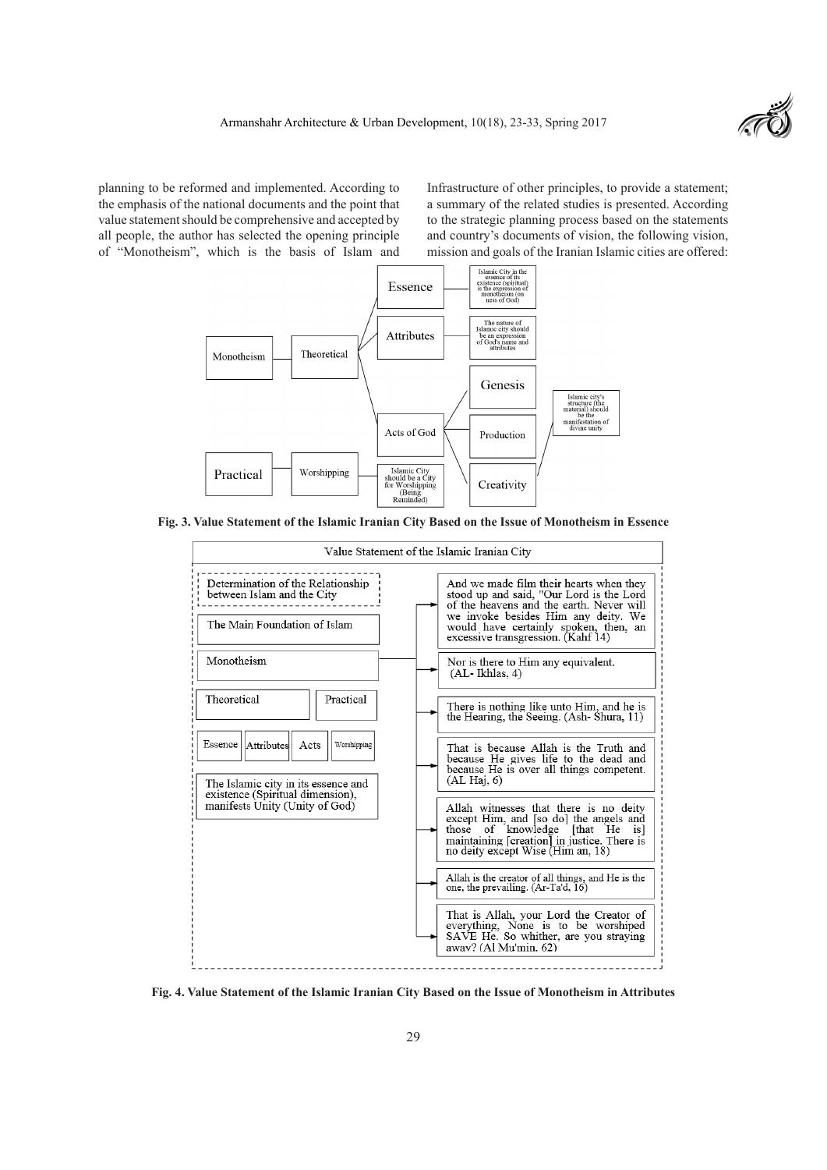

planning to be reformed and implemented. According to the emphasis of the national documents and the point that value statement should be comprehensive and accepted by all people, the author has selected the opening principle of "Monotheism", which is the basis of Islam and

Infrastructure of other principles, to provide a statement; a summary of the related studies is presented. According to the strategic planning process based on the statements and country's documents of vision, the following vision, mission and goals of the Iranian Islamic cities are offered:



**Fig. 3. Value Statement of the Islamic Iranian City Based on the Issue of Monotheism in Essence**



**Fig. 4. Value Statement of the Islamic Iranian City Based on the Issue of Monotheism in Attributes**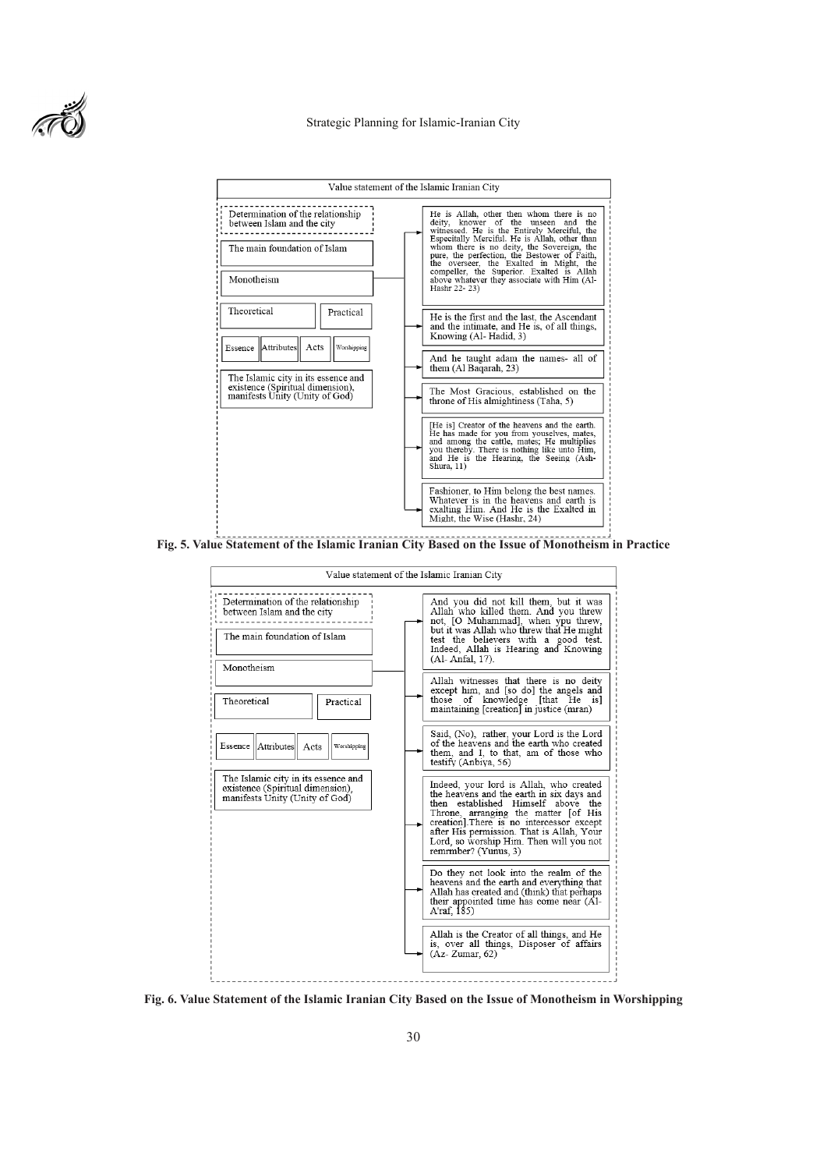

#### Strategic Planning for Islamic-Iranian City



**Fig. 5. Value Statement of the Islamic Iranian City Based on the Issue of Monotheism in Practice**



**Fig. 6. Value Statement of the Islamic Iranian City Based on the Issue of Monotheism in Worshipping**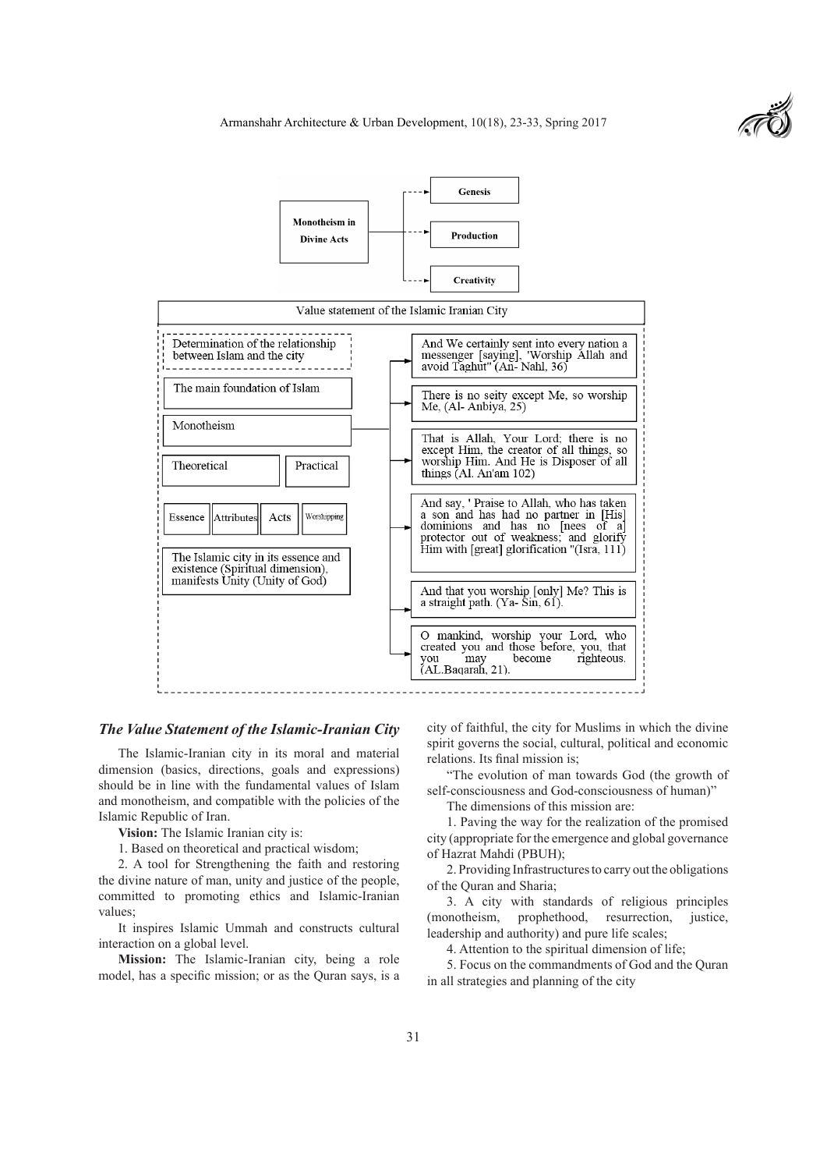



### *The Value Statement of the Islamic-Iranian City*

The Islamic-Iranian city in its moral and material dimension (basics, directions, goals and expressions) should be in line with the fundamental values of Islam and monotheism, and compatible with the policies of the Islamic Republic of Iran.

**Vision:** The Islamic Iranian city is:

1. Based on theoretical and practical wisdom;

2. A tool for Strengthening the faith and restoring the divine nature of man, unity and justice of the people, committed to promoting ethics and Islamic-Iranian values;

It inspires Islamic Ummah and constructs cultural interaction on a global level.

**Mission:** The Islamic-Iranian city, being a role model, has a specific mission; or as the Quran says, is a

city of faithful, the city for Muslims in which the divine spirit governs the social, cultural, political and economic relations. Its final mission is;

"The evolution of man towards God (the growth of self-consciousness and God-consciousness of human)"

The dimensions of this mission are:

1. Paving the way for the realization of the promised city (appropriate for the emergence and global governance of Hazrat Mahdi (PBUH);

2. Providing Infrastructures to carry out the obligations of the Quran and Sharia;

3. A city with standards of religious principles (monotheism, prophethood, resurrection, justice, leadership and authority) and pure life scales;

4. Attention to the spiritual dimension of life;

5. Focus on the commandments of God and the Quran in all strategies and planning of the city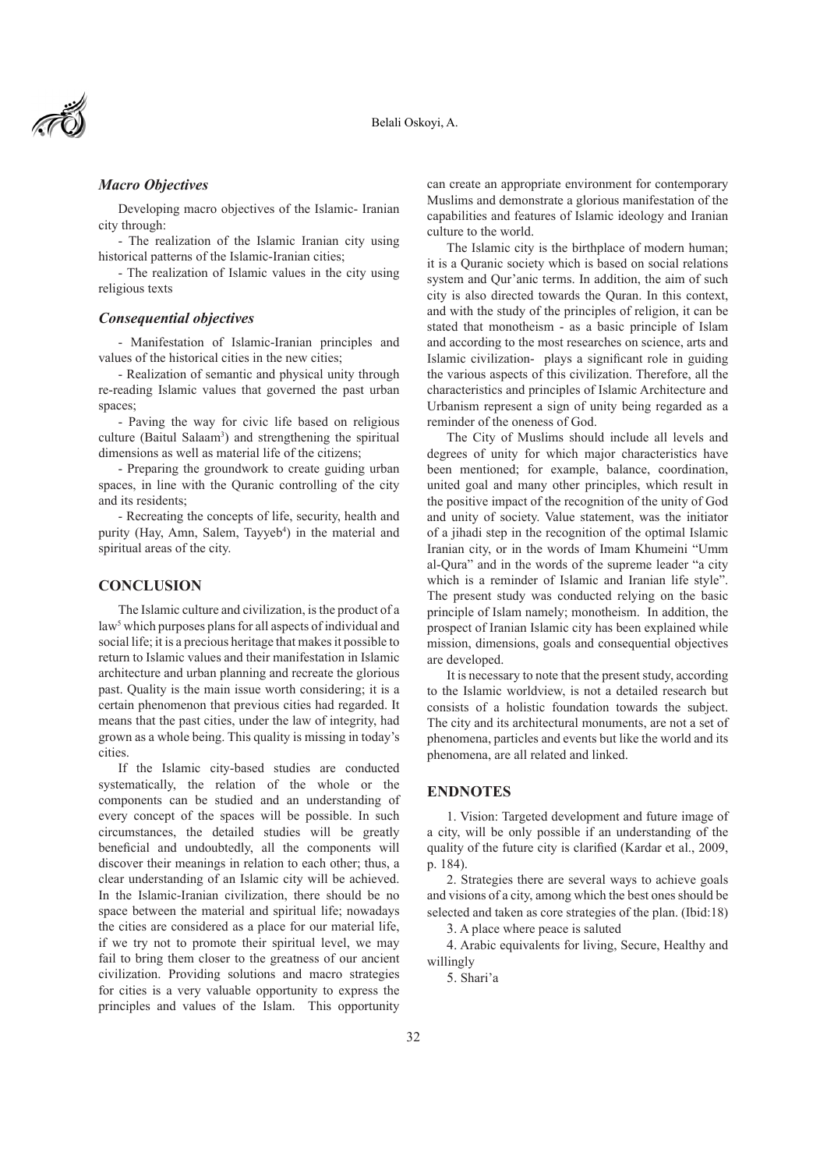

# *Macro Objectives*

Developing macro objectives of the Islamic- Iranian city through:

- The realization of the Islamic Iranian city using historical patterns of the Islamic-Iranian cities;

- The realization of Islamic values in the city using religious texts

#### *Consequential objectives*

- Manifestation of Islamic-Iranian principles and values of the historical cities in the new cities;

- Realization of semantic and physical unity through re-reading Islamic values that governed the past urban spaces;

- Paving the way for civic life based on religious culture (Baitul Salaam<sup>3</sup>) and strengthening the spiritual dimensions as well as material life of the citizens;

- Preparing the groundwork to create guiding urban spaces, in line with the Quranic controlling of the city and its residents;

- Recreating the concepts of life, security, health and purity (Hay, Amn, Salem, Tayyeb<sup>4</sup>) in the material and spiritual areas of the city.

## **CONCLUSION**

The Islamic culture and civilization, is the product of a law<sup>5</sup> which purposes plans for all aspects of individual and social life; it is a precious heritage that makes it possible to return to Islamic values and their manifestation in Islamic architecture and urban planning and recreate the glorious past. Quality is the main issue worth considering; it is a certain phenomenon that previous cities had regarded. It means that the past cities, under the law of integrity, had grown as a whole being. This quality is missing in today's cities.

If the Islamic city-based studies are conducted systematically, the relation of the whole or the components can be studied and an understanding of every concept of the spaces will be possible. In such circumstances, the detailed studies will be greatly beneficial and undoubtedly, all the components will discover their meanings in relation to each other; thus, a clear understanding of an Islamic city will be achieved. In the Islamic-Iranian civilization, there should be no space between the material and spiritual life; nowadays the cities are considered as a place for our material life, if we try not to promote their spiritual level, we may fail to bring them closer to the greatness of our ancient civilization. Providing solutions and macro strategies for cities is a very valuable opportunity to express the principles and values of the Islam. This opportunity

can create an appropriate environment for contemporary Muslims and demonstrate a glorious manifestation of the capabilities and features of Islamic ideology and Iranian culture to the world.

The Islamic city is the birthplace of modern human; it is a Quranic society which is based on social relations system and Qur'anic terms. In addition, the aim of such city is also directed towards the Quran. In this context, and with the study of the principles of religion, it can be stated that monotheism - as a basic principle of Islam and according to the most researches on science, arts and Islamic civilization- plays a significant role in guiding the various aspects of this civilization. Therefore, all the characteristics and principles of Islamic Architecture and Urbanism represent a sign of unity being regarded as a reminder of the oneness of God.

The City of Muslims should include all levels and degrees of unity for which major characteristics have been mentioned; for example, balance, coordination, united goal and many other principles, which result in the positive impact of the recognition of the unity of God and unity of society. Value statement, was the initiator of a jihadi step in the recognition of the optimal Islamic Iranian city, or in the words of Imam Khumeini "Umm al-Qura" and in the words of the supreme leader "a city which is a reminder of Islamic and Iranian life style". The present study was conducted relying on the basic principle of Islam namely; monotheism. In addition, the prospect of Iranian Islamic city has been explained while mission, dimensions, goals and consequential objectives are developed.

It is necessary to note that the present study, according to the Islamic worldview, is not a detailed research but consists of a holistic foundation towards the subject. The city and its architectural monuments, are not a set of phenomena, particles and events but like the world and its phenomena, are all related and linked.

### **ENDNOTES**

1. Vision: Targeted development and future image of a city, will be only possible if an understanding of the quality of the future city is clarified (Kardar et al., 2009, p. 184).

2. Strategies there are several ways to achieve goals and visions of a city, among which the best ones should be selected and taken as core strategies of the plan. (Ibid:18)

3. A place where peace is saluted

4. Arabic equivalents for living, Secure, Healthy and willingly

5. Shari'a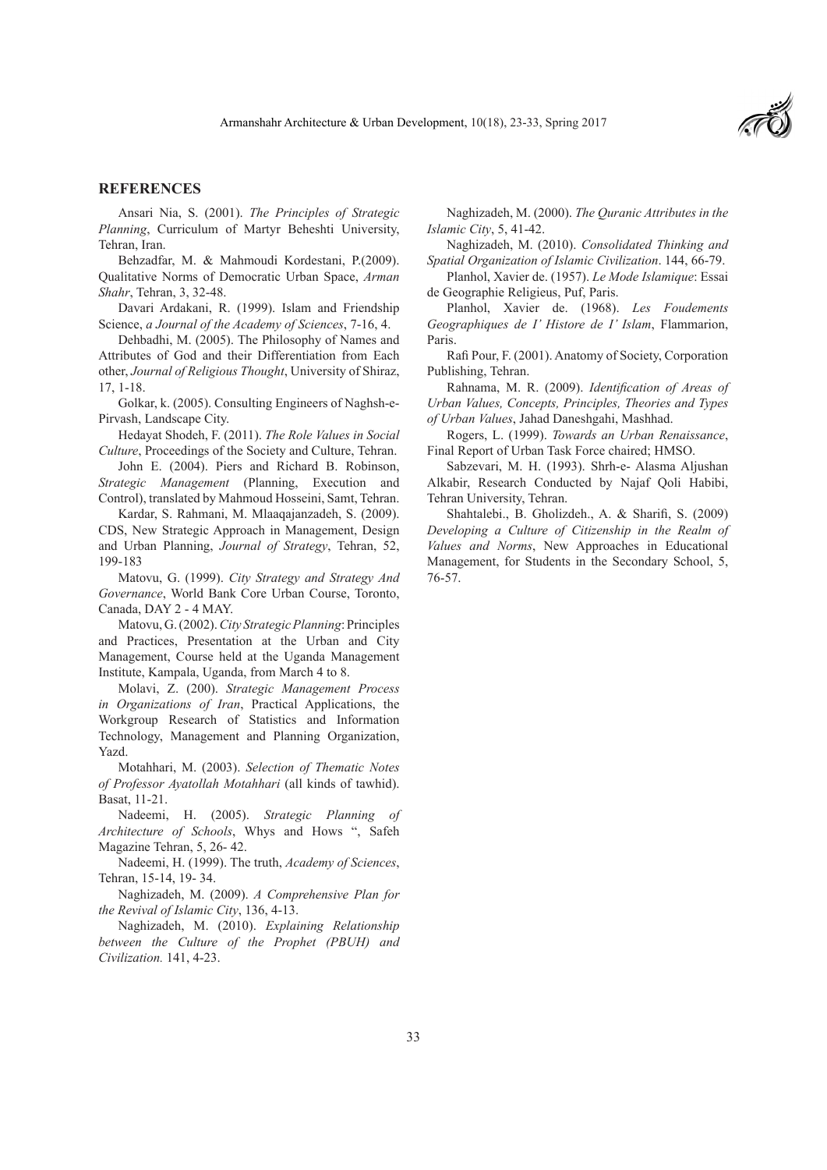

## **REFERENCES**

Ansari Nia, S. (2001). *The Principles of Strategic Planning*, Curriculum of Martyr Beheshti University, Tehran, Iran.

Behzadfar, M. & Mahmoudi Kordestani, P.(2009). Qualitative Norms of Democratic Urban Space, *Arman Shahr*, Tehran, 3, 32-48.

Davari Ardakani, R. (1999). Islam and Friendship Science, *a Journal of the Academy of Sciences*, 7-16, 4.

Dehbadhi, M. (2005). The Philosophy of Names and Attributes of God and their Differentiation from Each other, *Journal of Religious Thought*, University of Shiraz, 17, 1-18.

Golkar, k. (2005). Consulting Engineers of Naghsh-e-Pirvash, Landscape City.

Hedayat Shodeh, F. (2011). *The Role Values in Social Culture*, Proceedings of the Society and Culture, Tehran.

John E. (2004). Piers and Richard B. Robinson, *Strategic Management* (Planning, Execution and Control), translated by Mahmoud Hosseini, Samt, Tehran.

Kardar, S. Rahmani, M. Mlaaqajanzadeh, S. (2009). CDS, New Strategic Approach in Management, Design and Urban Planning, *Journal of Strategy*, Tehran, 52, 199-183

Matovu, G. (1999). *City Strategy and Strategy And Governance*, World Bank Core Urban Course, Toronto, Canada, DAY 2 - 4 MAY.

Matovu, G. (2002). *City Strategic Planning*: Principles and Practices, Presentation at the Urban and City Management, Course held at the Uganda Management Institute, Kampala, Uganda, from March 4 to 8.

Molavi, Z. (200). *Strategic Management Process in Organizations of Iran*, Practical Applications, the Workgroup Research of Statistics and Information Technology, Management and Planning Organization, Yazd.

Motahhari, M. (2003). *Selection of Thematic Notes of Professor Ayatollah Motahhari* (all kinds of tawhid). Basat, 11-21.

Nadeemi, H. (2005). *Strategic Planning of Architecture of Schools*, Whys and Hows ", Safeh Magazine Tehran, 5, 26- 42.

Nadeemi, H. (1999). The truth, *Academy of Sciences*, Tehran, 15-14, 19- 34.

Naghizadeh, M. (2009). *A Comprehensive Plan for the Revival of Islamic City*, 136, 4-13.

Naghizadeh, M. (2010). *Explaining Relationship between the Culture of the Prophet (PBUH) and Civilization.* 141, 4-23.

Naghizadeh, M. (2000). *The Quranic Attributes in the Islamic City*, 5, 41-42.

Naghizadeh, M. (2010). *Consolidated Thinking and Spatial Organization of Islamic Civilization*. 144, 66-79.

Planhol, Xavier de. (1957). *Le Mode Islamique*: Essai de Geographie Religieus, Puf, Paris.

Planhol, Xavier de. (1968). *Les Foudements Geographiques de I' Histore de I' Islam*, Flammarion, Paris.

Rafi Pour, F. (2001). Anatomy of Society, Corporation Publishing, Tehran.

Rahnama, M. R. (2009). *Identification of Areas of Urban Values, Concepts, Principles, Theories and Types of Urban Values*, Jahad Daneshgahi, Mashhad.

Rogers, L. (1999). *Towards an Urban Renaissance*, Final Report of Urban Task Force chaired; HMSO.

Sabzevari, M. H. (1993). Shrh-e- Alasma Aljushan Alkabir, Research Conducted by Najaf Qoli Habibi, Tehran University, Tehran.

Shahtalebi., B. Gholizdeh., A. & Sharifi, S. (2009) *Developing a Culture of Citizenship in the Realm of Values and Norms*, New Approaches in Educational Management, for Students in the Secondary School, 5, 76-57.